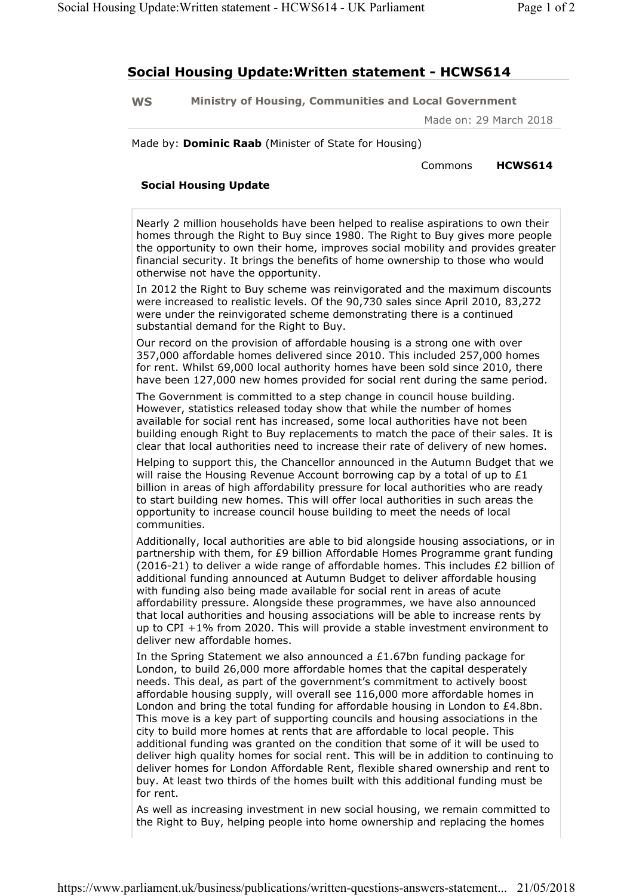## **Social Housing Update:Written statement - HCWS614**

**WS Ministry of Housing, Communities and Local Government** 

Made on: 29 March 2018

Made by: **Dominic Raab** (Minister of State for Housing)

Commons **HCWS614**

## **Social Housing Update**

Nearly 2 million households have been helped to realise aspirations to own their homes through the Right to Buy since 1980. The Right to Buy gives more people the opportunity to own their home, improves social mobility and provides greater financial security. It brings the benefits of home ownership to those who would otherwise not have the opportunity.

In 2012 the Right to Buy scheme was reinvigorated and the maximum discounts were increased to realistic levels. Of the 90,730 sales since April 2010, 83,272 were under the reinvigorated scheme demonstrating there is a continued substantial demand for the Right to Buy.

Our record on the provision of affordable housing is a strong one with over 357,000 affordable homes delivered since 2010. This included 257,000 homes for rent. Whilst 69,000 local authority homes have been sold since 2010, there have been 127,000 new homes provided for social rent during the same period.

The Government is committed to a step change in council house building. However, statistics released today show that while the number of homes available for social rent has increased, some local authorities have not been building enough Right to Buy replacements to match the pace of their sales. It is clear that local authorities need to increase their rate of delivery of new homes.

Helping to support this, the Chancellor announced in the Autumn Budget that we will raise the Housing Revenue Account borrowing cap by a total of up to  $£1$ billion in areas of high affordability pressure for local authorities who are ready to start building new homes. This will offer local authorities in such areas the opportunity to increase council house building to meet the needs of local communities.

Additionally, local authorities are able to bid alongside housing associations, or in partnership with them, for £9 billion Affordable Homes Programme grant funding (2016-21) to deliver a wide range of affordable homes. This includes £2 billion of additional funding announced at Autumn Budget to deliver affordable housing with funding also being made available for social rent in areas of acute affordability pressure. Alongside these programmes, we have also announced that local authorities and housing associations will be able to increase rents by up to CPI +1% from 2020. This will provide a stable investment environment to deliver new affordable homes.

In the Spring Statement we also announced a  $£1.67$ bn funding package for London, to build 26,000 more affordable homes that the capital desperately needs. This deal, as part of the government's commitment to actively boost affordable housing supply, will overall see 116,000 more affordable homes in London and bring the total funding for affordable housing in London to £4.8bn. This move is a key part of supporting councils and housing associations in the city to build more homes at rents that are affordable to local people. This additional funding was granted on the condition that some of it will be used to deliver high quality homes for social rent. This will be in addition to continuing to deliver homes for London Affordable Rent, flexible shared ownership and rent to buy. At least two thirds of the homes built with this additional funding must be for rent.

As well as increasing investment in new social housing, we remain committed to the Right to Buy, helping people into home ownership and replacing the homes